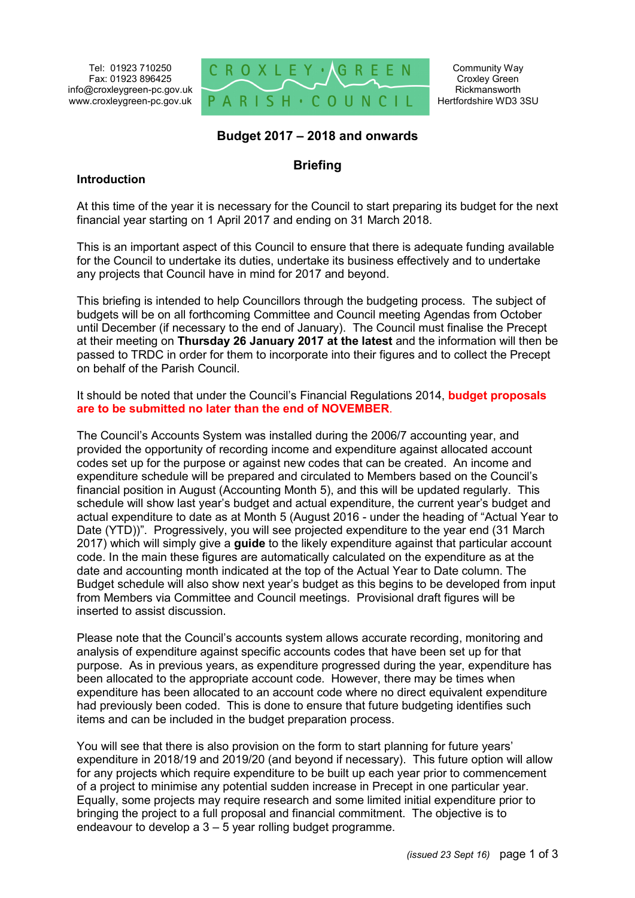Tel: 01923 710250 Fax: 01923 896425 info@croxleygreen-pc.gov.uk www.croxleygreen-pc.gov.uk



Community Way Croxley Green Rickmansworth Hertfordshire WD3 3SU

### **Budget 2017 – 2018 and onwards**

# **Briefing**

#### **Introduction**

At this time of the year it is necessary for the Council to start preparing its budget for the next financial year starting on 1 April 2017 and ending on 31 March 2018.

This is an important aspect of this Council to ensure that there is adequate funding available for the Council to undertake its duties, undertake its business effectively and to undertake any projects that Council have in mind for 2017 and beyond.

This briefing is intended to help Councillors through the budgeting process. The subject of budgets will be on all forthcoming Committee and Council meeting Agendas from October until December (if necessary to the end of January). The Council must finalise the Precept at their meeting on **Thursday 26 January 2017 at the latest** and the information will then be passed to TRDC in order for them to incorporate into their figures and to collect the Precept on behalf of the Parish Council.

It should be noted that under the Council's Financial Regulations 2014, **budget proposals are to be submitted no later than the end of NOVEMBER**.

The Council's Accounts System was installed during the 2006/7 accounting year, and provided the opportunity of recording income and expenditure against allocated account codes set up for the purpose or against new codes that can be created. An income and expenditure schedule will be prepared and circulated to Members based on the Council's financial position in August (Accounting Month 5), and this will be updated regularly. This schedule will show last year's budget and actual expenditure, the current year's budget and actual expenditure to date as at Month 5 (August 2016 - under the heading of "Actual Year to Date (YTD))". Progressively, you will see projected expenditure to the year end (31 March 2017) which will simply give a **guide** to the likely expenditure against that particular account code. In the main these figures are automatically calculated on the expenditure as at the date and accounting month indicated at the top of the Actual Year to Date column. The Budget schedule will also show next year's budget as this begins to be developed from input from Members via Committee and Council meetings. Provisional draft figures will be inserted to assist discussion.

Please note that the Council's accounts system allows accurate recording, monitoring and analysis of expenditure against specific accounts codes that have been set up for that purpose. As in previous years, as expenditure progressed during the year, expenditure has been allocated to the appropriate account code. However, there may be times when expenditure has been allocated to an account code where no direct equivalent expenditure had previously been coded. This is done to ensure that future budgeting identifies such items and can be included in the budget preparation process.

You will see that there is also provision on the form to start planning for future years' expenditure in 2018/19 and 2019/20 (and beyond if necessary). This future option will allow for any projects which require expenditure to be built up each year prior to commencement of a project to minimise any potential sudden increase in Precept in one particular year. Equally, some projects may require research and some limited initial expenditure prior to bringing the project to a full proposal and financial commitment. The objective is to endeavour to develop a 3 – 5 year rolling budget programme.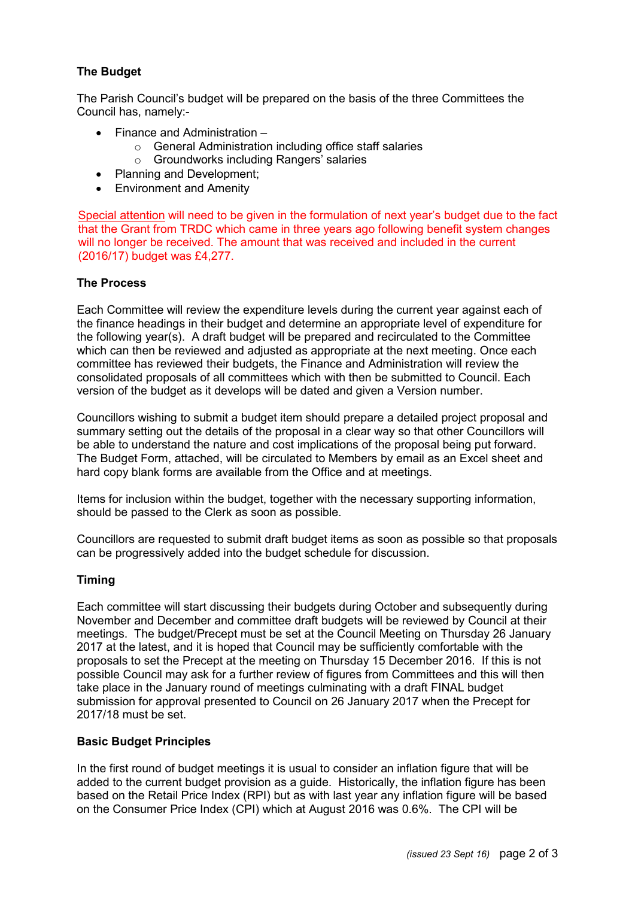# **The Budget**

The Parish Council's budget will be prepared on the basis of the three Committees the Council has, namely:-

- Finance and Administration
	- o General Administration including office staff salaries
	- o Groundworks including Rangers' salaries
- Planning and Development;
- Environment and Amenity

Special attention will need to be given in the formulation of next year's budget due to the fact that the Grant from TRDC which came in three years ago following benefit system changes will no longer be received. The amount that was received and included in the current (2016/17) budget was £4,277.

### **The Process**

Each Committee will review the expenditure levels during the current year against each of the finance headings in their budget and determine an appropriate level of expenditure for the following year(s). A draft budget will be prepared and recirculated to the Committee which can then be reviewed and adjusted as appropriate at the next meeting. Once each committee has reviewed their budgets, the Finance and Administration will review the consolidated proposals of all committees which with then be submitted to Council. Each version of the budget as it develops will be dated and given a Version number.

Councillors wishing to submit a budget item should prepare a detailed project proposal and summary setting out the details of the proposal in a clear way so that other Councillors will be able to understand the nature and cost implications of the proposal being put forward. The Budget Form, attached, will be circulated to Members by email as an Excel sheet and hard copy blank forms are available from the Office and at meetings.

Items for inclusion within the budget, together with the necessary supporting information, should be passed to the Clerk as soon as possible.

Councillors are requested to submit draft budget items as soon as possible so that proposals can be progressively added into the budget schedule for discussion.

### **Timing**

Each committee will start discussing their budgets during October and subsequently during November and December and committee draft budgets will be reviewed by Council at their meetings. The budget/Precept must be set at the Council Meeting on Thursday 26 January 2017 at the latest, and it is hoped that Council may be sufficiently comfortable with the proposals to set the Precept at the meeting on Thursday 15 December 2016. If this is not possible Council may ask for a further review of figures from Committees and this will then take place in the January round of meetings culminating with a draft FINAL budget submission for approval presented to Council on 26 January 2017 when the Precept for 2017/18 must be set.

### **Basic Budget Principles**

In the first round of budget meetings it is usual to consider an inflation figure that will be added to the current budget provision as a guide. Historically, the inflation figure has been based on the Retail Price Index (RPI) but as with last year any inflation figure will be based on the Consumer Price Index (CPI) which at August 2016 was 0.6%. The CPI will be